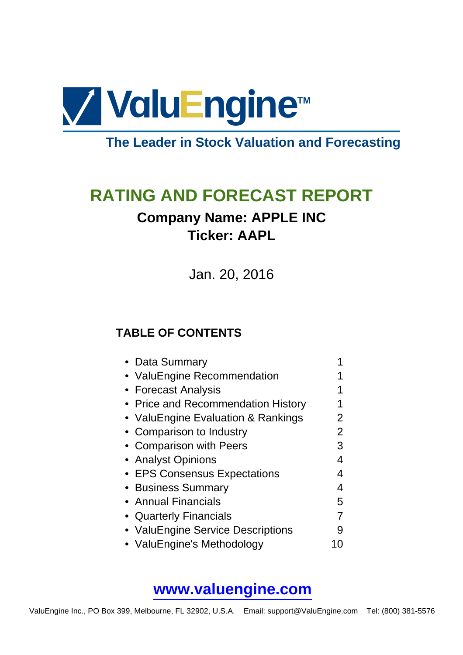

# **The Leader in Stock Valuation and Forecasting**

# **RATING AND FORECAST REPORT**

# **Company Name: APPLE INC Ticker: AAPL**

Jan. 20, 2016

### **TABLE OF CONTENTS**

| • Data Summary                     |   |
|------------------------------------|---|
| • ValuEngine Recommendation        |   |
| • Forecast Analysis                |   |
| • Price and Recommendation History |   |
| • ValuEngine Evaluation & Rankings | 2 |
| • Comparison to Industry           | 2 |
| • Comparison with Peers            | 3 |
| • Analyst Opinions                 | 4 |
| • EPS Consensus Expectations       |   |
| • Business Summary                 | 4 |
| • Annual Financials                | 5 |
| • Quarterly Financials             |   |
| • ValuEngine Service Descriptions  | 9 |
| • ValuEngine's Methodology         |   |

## **[www.valuengine.com](http://www.valuengine.com/)**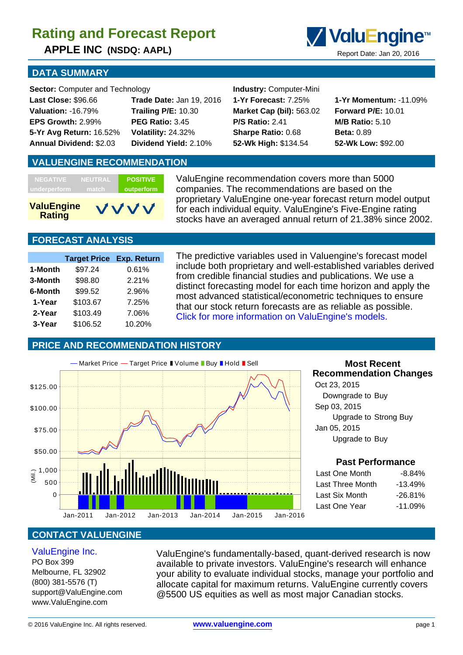**APPLE INC (NSDQ: AAPL)** Report Date: Jan 20, 2016



#### **DATA SUMMARY**

**Sector:** Computer and Technology **Industry:** Computer-Mini

| <b>Last Close: \$96.66</b>     |
|--------------------------------|
| <b>Valuation: -16.79%</b>      |
| EPS Growth: 2.99%              |
| 5-Yr Avg Return: 16.52%        |
| <b>Annual Dividend: \$2.03</b> |

**Valuation:** -16.79% **Trailing P/E:** 10.30 **Market Cap (bil):** 563.02 **Forward P/E:** 10.01 **EPS Growth:** 2.99% **PEG Ratio:** 3.45 **P/S Ratio:** 2.41 **M/B Ratio:** 5.10 **5-Yr Avg Return:** 16.52% **Volatility:** 24.32% **Sharpe Ratio:** 0.68 **Beta:** 0.89 **Annual Dividend:** \$2.03 **Dividend Yield:** 2.10% **52-Wk High:** \$134.54 **52-Wk Low:** \$92.00

**Last Close:** \$96.66 **Trade Date:** Jan 19, 2016 **1-Yr Forecast:** 7.25% **1-Yr Momentum:** -11.09%

#### **VALUENGINE RECOMMENDATION**

| <b>ValuEngine</b><br><b>Rating</b> |                | VVVV            |
|------------------------------------|----------------|-----------------|
| underperform                       | match          | outperform      |
| <b>NEGATIVE</b>                    | <b>NEUTRAL</b> | <b>POSITIVE</b> |

ValuEngine recommendation covers more than 5000 companies. The recommendations are based on the proprietary ValuEngine one-year forecast return model output for each individual equity. ValuEngine's Five-Engine rating stocks have an averaged annual return of 21.38% since 2002.

### **FORECAST ANALYSIS**

|         | <b>Target Price</b> | <b>Exp. Return</b> |
|---------|---------------------|--------------------|
| 1-Month | \$97.24             | 0.61%              |
| 3-Month | \$98.80             | 2.21%              |
| 6-Month | \$99.52             | 2.96%              |
| 1-Year  | \$103.67            | 7.25%              |
| 2-Year  | \$103.49            | 7.06%              |
| 3-Year  | \$106.52            | 10.20%             |

The predictive variables used in Valuengine's forecast model include both proprietary and well-established variables derived from credible financial studies and publications. We use a distinct forecasting model for each time horizon and apply the most advanced statistical/econometric techniques to ensure that our stock return forecasts are as reliable as possible. [Click for more information on ValuEngine's models.](http://www.valuengine.com/pub/main?p=0)

#### **PRICE AND RECOMMENDATION HISTORY**



#### **Most Recent Recommendation Changes**

 Oct 23, 2015 Downgrade to Buy Sep 03, 2015 Upgrade to Strong Buy Jan 05, 2015 Upgrade to Buy

#### **Past Performance**

| Last One Month   | $-8.84\%$  |
|------------------|------------|
| Last Three Month | $-13.49%$  |
| Last Six Month   | $-26.81\%$ |
| Last One Year    | $-11.09%$  |
|                  |            |

### **CONTACT VALUENGINE**

#### [ValuEngine Inc.](http://www.valuengine.com/)

PO Box 399 Melbourne, FL 32902 (800) 381-5576 (T) support@ValuEngine.com www.ValuEngine.com

ValuEngine's fundamentally-based, quant-derived research is now available to private investors. ValuEngine's research will enhance your ability to evaluate individual stocks, manage your portfolio and allocate capital for maximum returns. ValuEngine currently covers @5500 US equities as well as most major Canadian stocks.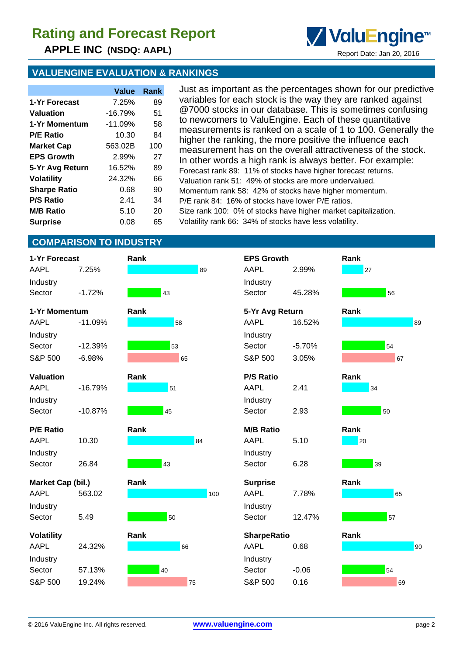**APPLE INC (NSDQ: AAPL)** Report Date: Jan 20, 2016



|                     | Value     | Rank |
|---------------------|-----------|------|
| 1-Yr Forecast       | 7.25%     | 89   |
| Valuation           | $-16.79%$ | 51   |
| 1-Yr Momentum       | $-11.09%$ | 58   |
| <b>P/E Ratio</b>    | 10.30     | 84   |
| <b>Market Cap</b>   | 563.02B   | 100  |
| <b>EPS Growth</b>   | 2.99%     | 27   |
| 5-Yr Avg Return     | 16.52%    | 89   |
| <b>Volatility</b>   | 24.32%    | 66   |
| <b>Sharpe Ratio</b> | 0.68      | 90   |
| <b>P/S Ratio</b>    | 241       | 34   |
| <b>M/B Ratio</b>    | 5.10      | 20   |
| <b>Surprise</b>     | 0.08      | 65   |

Just as important as the percentages shown for our predictive variables for each stock is the way they are ranked against @7000 stocks in our database. This is sometimes confusing to newcomers to ValuEngine. Each of these quantitative measurements is ranked on a scale of 1 to 100. Generally the higher the ranking, the more positive the influence each measurement has on the overall attractiveness of the stock. In other words a high rank is always better. For example: Forecast rank 89: 11% of stocks have higher forecast returns. Valuation rank 51: 49% of stocks are more undervalued. Momentum rank 58: 42% of stocks have higher momentum. P/E rank 84: 16% of stocks have lower P/E ratios. Size rank 100: 0% of stocks have higher market capitalization. Volatility rank 66: 34% of stocks have less volatility.

ValuEngine<sup>™</sup>

### **COMPARISON TO INDUSTRY**

| 1-Yr Forecast     |           | Rank |    |     |  |
|-------------------|-----------|------|----|-----|--|
| AAPL              | 7.25%     |      |    | 89  |  |
| Industry          |           |      |    |     |  |
| Sector            | $-1.72%$  |      | 43 |     |  |
| 1-Yr Momentum     |           | Rank |    |     |  |
| AAPL              | $-11.09%$ |      | 58 |     |  |
| Industry          |           |      |    |     |  |
| Sector            | $-12.39%$ |      | 53 |     |  |
| S&P 500           | $-6.98%$  |      | 65 |     |  |
| <b>Valuation</b>  |           | Rank |    |     |  |
| AAPL              | $-16.79%$ |      | 51 |     |  |
| Industry          |           |      |    |     |  |
| Sector            | $-10.87%$ |      | 45 |     |  |
| <b>P/E Ratio</b>  |           | Rank |    |     |  |
| AAPL              | 10.30     |      |    | 84  |  |
| Industry          |           |      |    |     |  |
| Sector            | 26.84     |      | 43 |     |  |
|                   |           |      |    |     |  |
| Market Cap (bil.) |           | Rank |    |     |  |
| <b>AAPL</b>       | 563.02    |      |    | 100 |  |
| Industry          |           |      |    |     |  |
| Sector            | 5.49      |      | 50 |     |  |
| <b>Volatility</b> |           | Rank |    |     |  |
| AAPL              | 24.32%    |      | 66 |     |  |
| Industry          |           |      |    |     |  |
| Sector            | 57.13%    |      | 40 |     |  |
| S&P 500           | 19.24%    |      | 75 |     |  |

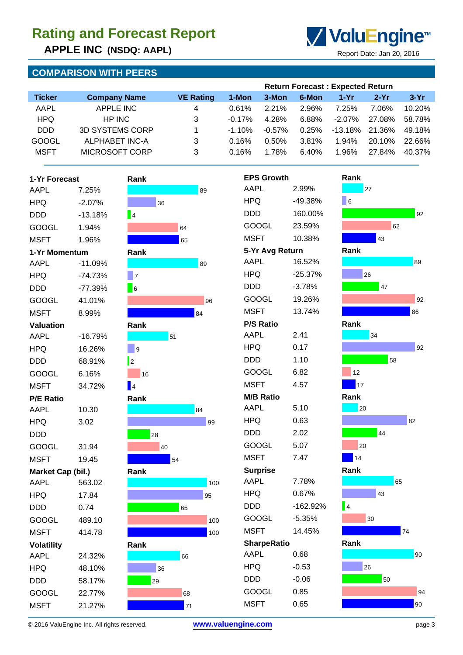**APPLE INC (NSDQ: AAPL)** Report Date: Jan 20, 2016

### **COMPARISON WITH PEERS**



| <b>Company Name</b>    | <b>VE Rating</b> | 1-Mon     | 3-Mon     | 6-Mon | $1-Yr$    | $2-Yr$ | $3-Yr$                                  |
|------------------------|------------------|-----------|-----------|-------|-----------|--------|-----------------------------------------|
| APPLE INC              | 4                | 0.61%     | 2.21%     | 2.96% | 7.25%     | 7.06%  | 10.20%                                  |
| HP INC                 | 3                | $-0.17%$  | 4.28%     | 6.88% | $-2.07\%$ | 27.08% | 58.78%                                  |
| <b>3D SYSTEMS CORP</b> |                  | $-1.10\%$ | $-0.57\%$ | 0.25% | -13.18%   | 21.36% | 49.18%                                  |
| ALPHABET INC-A         | 3                | 0.16%     | 0.50%     | 3.81% | 1.94%     | 20.10% | 22.66%                                  |
| MICROSOFT CORP         | 3                | 0.16%     | 1.78%     | 6.40% | 1.96%     | 27.84% | 40.37%                                  |
|                        |                  |           |           |       |           |        | <b>Return Forecast: Expected Return</b> |

| 1-Yr Forecast     |           | Rank                    |
|-------------------|-----------|-------------------------|
| AAPL              | 7.25%     |                         |
| HPQ               | $-2.07%$  | 36                      |
| DDD               | $-13.18%$ | $\overline{4}$          |
| GOOGL             | 1.94%     | 64                      |
| MSFT              | 1.96%     | 65                      |
| 1-Yr Momentum     |           | Rank                    |
| AAPL              | $-11.09%$ |                         |
| HPQ               | $-74.73%$ | 7                       |
| DDD               | $-77.39%$ | 6                       |
| GOOGL             | 41.01%    |                         |
| MSFT              | 8.99%     |                         |
| Valuation         |           | Rank                    |
| AAPL              | $-16.79%$ | 51                      |
| HPQ               | 16.26%    | 9                       |
| DDD               | 68.91%    | $\overline{\mathbf{2}}$ |
| GOOGL             | 6.16%     | 16                      |
| MSFT              | 34.72%    | $\blacksquare$          |
| <b>P/E Ratio</b>  |           | Rank                    |
| AAPL              | 10.30     |                         |
| HPQ               | 3.02      |                         |
| DDD               |           | 28                      |
| GOOGL             | 31.94     | 40                      |
| <b>MSFT</b>       | 19.45     | 54                      |
| Market Cap (bil.) |           | Rank                    |
| <b>AAPL</b>       | 563.02    |                         |
| HPQ               | 17.84     |                         |
| DDD               | 0.74      | 65                      |
| GOOGL             | 489.10    |                         |
| MSFT              | 414.78    |                         |
| <b>Volatility</b> |           | Rank                    |
| AAPL              | 24.32%    | 66                      |
| HPQ               | 48.10%    | 36                      |
| DDD               | 58.17%    | 29                      |
| GOOGL             | 22.77%    | 68                      |
| <b>MSFT</b>       | 21 27%    | 7                       |







© 2016 ValuEngine Inc. All rights reserved. **[www.valuengine.com](http://www.valuengine.com/)** page 3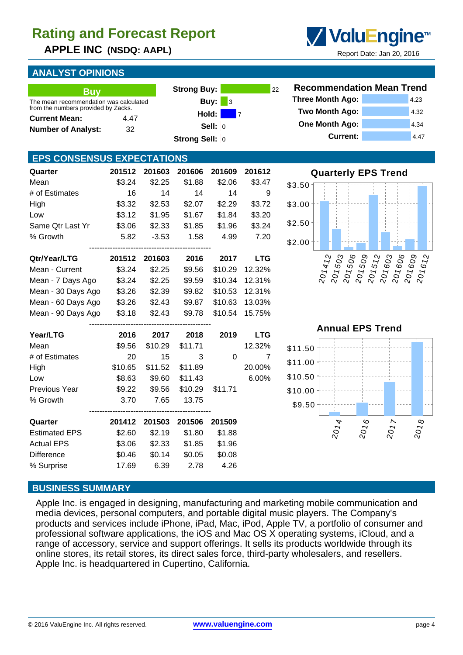**APPLE INC (NSDQ: AAPL)** Report Date: Jan 20, 2016

### **ANALYST OPINIONS**

| <b>Buv</b>                                                                    |      | <b>Strong Buy:</b> |                  |
|-------------------------------------------------------------------------------|------|--------------------|------------------|
| The mean recommendation was calculated<br>from the numbers provided by Zacks. |      | Buy: $\vert$       | $\blacksquare$ 3 |
| <b>Current Mean:</b>                                                          | 4.47 | Hold:              | - 7              |
| <b>Number of Analyst:</b>                                                     | 32   | Sell: $ 0 $        |                  |
|                                                                               |      | Strong Sell: 0     |                  |

#### **EPS CONSENSUS EXPECTATIONS**

| Quarter              | 201512  | 201603  | 201606  | 201609  | 201612         |
|----------------------|---------|---------|---------|---------|----------------|
| Mean                 | \$3.24  | \$2.25  | \$1.88  | \$2.06  | \$3.47         |
| # of Estimates       | 16      | 14      | 14      | 14      | 9              |
| High                 | \$3.32  | \$2.53  | \$2.07  | \$2.29  | \$3.72         |
| Low                  | \$3.12  | \$1.95  | \$1.67  | \$1.84  | \$3.20         |
| Same Qtr Last Yr     | \$3.06  | \$2.33  | \$1.85  | \$1.96  | \$3.24         |
| % Growth             | 5.82    | $-3.53$ | 1.58    | 4.99    | 7.20           |
| Qtr/Year/LTG         | 201512  | 201603  | 2016    | 2017    | <b>LTG</b>     |
| Mean - Current       | \$3.24  | \$2.25  | \$9.56  | \$10.29 | 12.32%         |
| Mean - 7 Days Ago    | \$3.24  | \$2.25  | \$9.59  | \$10.34 | 12.31%         |
| Mean - 30 Days Ago   | \$3.26  | \$2.39  | \$9.82  | \$10.53 | 12.31%         |
| Mean - 60 Days Ago   | \$3.26  | \$2.43  | \$9.87  | \$10.63 | 13.03%         |
| Mean - 90 Days Ago   | \$3.18  | \$2.43  | \$9.78  | \$10.54 | 15.75%         |
| Year/LTG             | 2016    | 2017    | 2018    | 2019    | <b>LTG</b>     |
| Mean                 | \$9.56  | \$10.29 | \$11.71 |         | 12.32%         |
| # of Estimates       | 20      | 15      | 3       | 0       | $\overline{7}$ |
| High                 | \$10.65 | \$11.52 | \$11.89 |         | 20.00%         |
| Low                  | \$8.63  | \$9.60  | \$11.43 |         | 6.00%          |
| Previous Year        | \$9.22  | \$9.56  | \$10.29 | \$11.71 |                |
| % Growth             | 3.70    | 7.65    | 13.75   |         |                |
| Quarter              | 201412  | 201503  | 201506  | 201509  |                |
| <b>Estimated EPS</b> | \$2.60  | \$2.19  | \$1.80  | \$1.88  |                |
| <b>Actual EPS</b>    | \$3.06  | \$2.33  | \$1.85  | \$1.96  |                |
| <b>Difference</b>    | \$0.46  | \$0.14  | \$0.05  | \$0.08  |                |

% Surprise 17.69 6.39 2.78 4.26

# **Recommendation Mean Trend Three Month Ago:** 4.23 **Two Month Ago:** 4.32

**Strong Buy:** 22

ValuEngine<sup>™</sup>

| <b>Current:</b>                           | 4.47 |
|-------------------------------------------|------|
| One Month Ago:                            | 4.34 |
| $\sim$ $\sim$ $\sim$ $\sim$ $\sim$ $\sim$ | ےں ب |

**Quarterly EPS Trend**



**Annual EPS Trend**



#### **BUSINESS SUMMARY**

Apple Inc. is engaged in designing, manufacturing and marketing mobile communication and media devices, personal computers, and portable digital music players. The Company's products and services include iPhone, iPad, Mac, iPod, Apple TV, a portfolio of consumer and professional software applications, the iOS and Mac OS X operating systems, iCloud, and a range of accessory, service and support offerings. It sells its products worldwide through its online stores, its retail stores, its direct sales force, third-party wholesalers, and resellers. Apple Inc. is headquartered in Cupertino, California.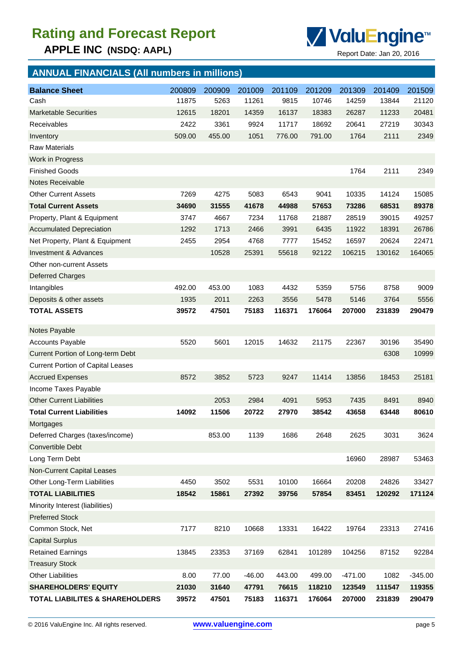**APPLE INC** (NSDQ: AAPL) Report Date: Jan 20, 2016



## **ANNUAL FINANCIALS (All numbers in millions)**

| <b>Balance Sheet</b>                       | 200809 | 200909 | 201009   | 201109 | 201209 | 201309    | 201409 | 201509    |
|--------------------------------------------|--------|--------|----------|--------|--------|-----------|--------|-----------|
| Cash                                       | 11875  | 5263   | 11261    | 9815   | 10746  | 14259     | 13844  | 21120     |
| <b>Marketable Securities</b>               | 12615  | 18201  | 14359    | 16137  | 18383  | 26287     | 11233  | 20481     |
| <b>Receivables</b>                         | 2422   | 3361   | 9924     | 11717  | 18692  | 20641     | 27219  | 30343     |
| Inventory                                  | 509.00 | 455.00 | 1051     | 776.00 | 791.00 | 1764      | 2111   | 2349      |
| <b>Raw Materials</b>                       |        |        |          |        |        |           |        |           |
| Work in Progress                           |        |        |          |        |        |           |        |           |
| <b>Finished Goods</b>                      |        |        |          |        |        | 1764      | 2111   | 2349      |
| <b>Notes Receivable</b>                    |        |        |          |        |        |           |        |           |
| <b>Other Current Assets</b>                | 7269   | 4275   | 5083     | 6543   | 9041   | 10335     | 14124  | 15085     |
| <b>Total Current Assets</b>                | 34690  | 31555  | 41678    | 44988  | 57653  | 73286     | 68531  | 89378     |
| Property, Plant & Equipment                | 3747   | 4667   | 7234     | 11768  | 21887  | 28519     | 39015  | 49257     |
| <b>Accumulated Depreciation</b>            | 1292   | 1713   | 2466     | 3991   | 6435   | 11922     | 18391  | 26786     |
| Net Property, Plant & Equipment            | 2455   | 2954   | 4768     | 7777   | 15452  | 16597     | 20624  | 22471     |
| Investment & Advances                      |        | 10528  | 25391    | 55618  | 92122  | 106215    | 130162 | 164065    |
| <b>Other non-current Assets</b>            |        |        |          |        |        |           |        |           |
| <b>Deferred Charges</b>                    |        |        |          |        |        |           |        |           |
| Intangibles                                | 492.00 | 453.00 | 1083     | 4432   | 5359   | 5756      | 8758   | 9009      |
| Deposits & other assets                    | 1935   | 2011   | 2263     | 3556   | 5478   | 5146      | 3764   | 5556      |
| <b>TOTAL ASSETS</b>                        | 39572  | 47501  | 75183    | 116371 | 176064 | 207000    | 231839 | 290479    |
| Notes Payable                              |        |        |          |        |        |           |        |           |
| <b>Accounts Payable</b>                    | 5520   | 5601   | 12015    | 14632  | 21175  | 22367     | 30196  | 35490     |
| Current Portion of Long-term Debt          |        |        |          |        |        |           | 6308   | 10999     |
| <b>Current Portion of Capital Leases</b>   |        |        |          |        |        |           |        |           |
| <b>Accrued Expenses</b>                    | 8572   | 3852   | 5723     | 9247   | 11414  | 13856     | 18453  | 25181     |
| Income Taxes Payable                       |        |        |          |        |        |           |        |           |
| <b>Other Current Liabilities</b>           |        | 2053   | 2984     | 4091   | 5953   | 7435      | 8491   | 8940      |
| <b>Total Current Liabilities</b>           | 14092  | 11506  | 20722    | 27970  | 38542  | 43658     | 63448  | 80610     |
| Mortgages                                  |        |        |          |        |        |           |        |           |
| Deferred Charges (taxes/income)            |        | 853.00 | 1139     | 1686   | 2648   | 2625      | 3031   | 3624      |
| <b>Convertible Debt</b>                    |        |        |          |        |        |           |        |           |
| Long Term Debt                             |        |        |          |        |        | 16960     | 28987  | 53463     |
| Non-Current Capital Leases                 |        |        |          |        |        |           |        |           |
| Other Long-Term Liabilities                | 4450   | 3502   | 5531     | 10100  | 16664  | 20208     | 24826  | 33427     |
| <b>TOTAL LIABILITIES</b>                   | 18542  | 15861  | 27392    | 39756  | 57854  | 83451     | 120292 | 171124    |
| Minority Interest (liabilities)            |        |        |          |        |        |           |        |           |
| <b>Preferred Stock</b>                     |        |        |          |        |        |           |        |           |
| Common Stock, Net                          | 7177   | 8210   | 10668    | 13331  | 16422  | 19764     | 23313  | 27416     |
| <b>Capital Surplus</b>                     |        |        |          |        |        |           |        |           |
| <b>Retained Earnings</b>                   | 13845  | 23353  | 37169    | 62841  | 101289 | 104256    | 87152  | 92284     |
| <b>Treasury Stock</b>                      |        |        |          |        |        |           |        |           |
| <b>Other Liabilities</b>                   | 8.00   | 77.00  | $-46.00$ | 443.00 | 499.00 | $-471.00$ | 1082   | $-345.00$ |
| <b>SHAREHOLDERS' EQUITY</b>                | 21030  | 31640  | 47791    | 76615  | 118210 | 123549    | 111547 | 119355    |
| <b>TOTAL LIABILITES &amp; SHAREHOLDERS</b> | 39572  | 47501  | 75183    | 116371 | 176064 | 207000    | 231839 | 290479    |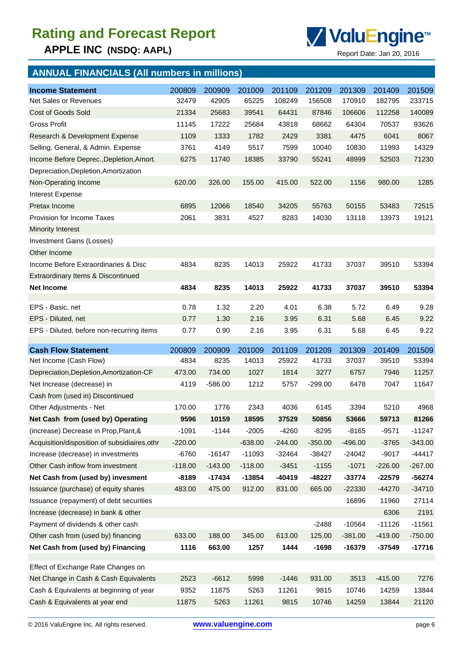

## **ANNUAL FINANCIALS (All numbers in millions)**

| <b>Income Statement</b>                       | 200809    | 200909    | 201009    | 201109    | 201209    | 201309    | 201409    | 201509    |
|-----------------------------------------------|-----------|-----------|-----------|-----------|-----------|-----------|-----------|-----------|
| Net Sales or Revenues                         | 32479     | 42905     | 65225     | 108249    | 156508    | 170910    | 182795    | 233715    |
| Cost of Goods Sold                            | 21334     | 25683     | 39541     | 64431     | 87846     | 106606    | 112258    | 140089    |
| <b>Gross Profit</b>                           | 11145     | 17222     | 25684     | 43818     | 68662     | 64304     | 70537     | 93626     |
| Research & Development Expense                | 1109      | 1333      | 1782      | 2429      | 3381      | 4475      | 6041      | 8067      |
| Selling, General, & Admin. Expense            | 3761      | 4149      | 5517      | 7599      | 10040     | 10830     | 11993     | 14329     |
| Income Before Deprec., Depletion, Amort.      | 6275      | 11740     | 18385     | 33790     | 55241     | 48999     | 52503     | 71230     |
| Depreciation, Depletion, Amortization         |           |           |           |           |           |           |           |           |
| Non-Operating Income                          | 620.00    | 326.00    | 155.00    | 415.00    | 522.00    | 1156      | 980.00    | 1285      |
| Interest Expense                              |           |           |           |           |           |           |           |           |
| Pretax Income                                 | 6895      | 12066     | 18540     | 34205     | 55763     | 50155     | 53483     | 72515     |
| Provision for Income Taxes                    | 2061      | 3831      | 4527      | 8283      | 14030     | 13118     | 13973     | 19121     |
| <b>Minority Interest</b>                      |           |           |           |           |           |           |           |           |
| Investment Gains (Losses)                     |           |           |           |           |           |           |           |           |
| Other Income                                  |           |           |           |           |           |           |           |           |
| Income Before Extraordinaries & Disc          | 4834      | 8235      | 14013     | 25922     | 41733     | 37037     | 39510     | 53394     |
| Extraordinary Items & Discontinued            |           |           |           |           |           |           |           |           |
| <b>Net Income</b>                             | 4834      | 8235      | 14013     | 25922     | 41733     | 37037     | 39510     | 53394     |
|                                               |           |           |           |           |           |           |           |           |
| EPS - Basic, net                              | 0.78      | 1.32      | 2.20      | 4.01      | 6.38      | 5.72      | 6.49      | 9.28      |
| EPS - Diluted, net                            | 0.77      | 1.30      | 2.16      | 3.95      | 6.31      | 5.68      | 6.45      | 9.22      |
| EPS - Diluted, before non-recurring items     | 0.77      | 0.90      | 2.16      | 3.95      | 6.31      | 5.68      | 6.45      | 9.22      |
| <b>Cash Flow Statement</b>                    | 200809    | 200909    | 201009    | 201109    | 201209    | 201309    | 201409    | 201509    |
| Net Income (Cash Flow)                        | 4834      | 8235      | 14013     | 25922     | 41733     | 37037     | 39510     | 53394     |
| Depreciation, Depletion, Amortization-CF      | 473.00    | 734.00    | 1027      | 1814      | 3277      | 6757      | 7946      | 11257     |
| Net Increase (decrease) in                    | 4119      | $-586.00$ | 1212      | 5757      | $-299.00$ | 6478      | 7047      | 11647     |
| Cash from (used in) Discontinued              |           |           |           |           |           |           |           |           |
| Other Adjustments - Net                       | 170.00    | 1776      | 2343      | 4036      | 6145      | 3394      | 5210      | 4968      |
| Net Cash from (used by) Operating             | 9596      | 10159     | 18595     | 37529     | 50856     | 53666     | 59713     | 81266     |
| (increase) Decrease in Prop, Plant, &         | $-1091$   | $-1144$   | $-2005$   | $-4260$   | $-8295$   | $-8165$   | -9571     | $-11247$  |
| Acquisition/disposition of subsidiaires, othr | $-220.00$ |           | $-638.00$ | $-244.00$ | $-350.00$ | $-496.00$ | $-3765$   | $-343.00$ |
| Increase (decrease) in investments            | $-6760$   | $-16147$  | $-11093$  | $-32464$  | $-38427$  | $-24042$  | $-9017$   | -44417    |
| Other Cash inflow from investment             | $-118.00$ | $-143.00$ | $-118.00$ | $-3451$   | $-1155$   | $-1071$   | $-226.00$ | $-267.00$ |
| Net Cash from (used by) invesment             | $-8189$   | $-17434$  | $-13854$  | -40419    | -48227    | -33774    | $-22579$  | -56274    |
| Issuance (purchase) of equity shares          | 483.00    | 475.00    | 912.00    | 831.00    | 665.00    | $-22330$  | $-44270$  | $-34710$  |
| Issuance (repayment) of debt securities       |           |           |           |           |           | 16896     | 11960     | 27114     |
| Increase (decrease) in bank & other           |           |           |           |           |           |           | 6306      | 2191      |
| Payment of dividends & other cash             |           |           |           |           | $-2488$   | $-10564$  | $-11126$  | $-11561$  |
| Other cash from (used by) financing           | 633.00    | 188.00    | 345.00    | 613.00    | 125.00    | $-381.00$ | $-419.00$ | $-750.00$ |
| Net Cash from (used by) Financing             | 1116      | 663.00    | 1257      | 1444      | $-1698$   | $-16379$  | $-37549$  | $-17716$  |
| Effect of Exchange Rate Changes on            |           |           |           |           |           |           |           |           |
| Net Change in Cash & Cash Equivalents         |           |           |           |           |           |           |           |           |
|                                               | 2523      | $-6612$   | 5998      | $-1446$   | 931.00    | 3513      | $-415.00$ | 7276      |
| Cash & Equivalents at beginning of year       | 9352      | 11875     | 5263      | 11261     | 9815      | 10746     | 14259     | 13844     |
| Cash & Equivalents at year end                | 11875     | 5263      | 11261     | 9815      | 10746     | 14259     | 13844     | 21120     |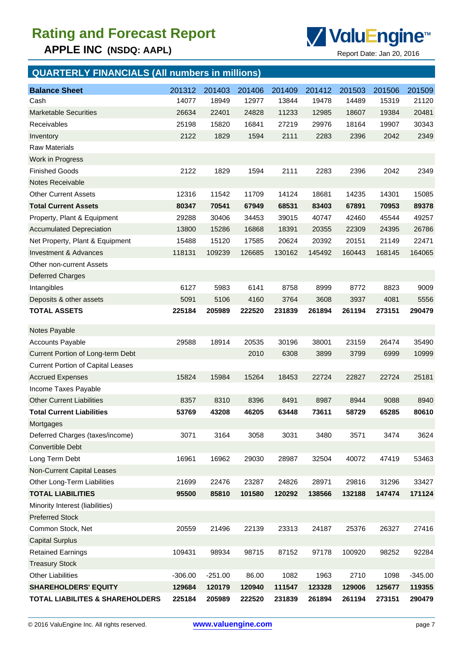**APPLE INC (NSDQ: AAPL)** Report Date: Jan 20, 2016



## **QUARTERLY FINANCIALS (All numbers in millions)**

| <b>Balance Sheet</b>                       | 201312    | 201403    | 201406 | 201409 | 201412 | 201503 | 201506 | 201509    |
|--------------------------------------------|-----------|-----------|--------|--------|--------|--------|--------|-----------|
| Cash                                       | 14077     | 18949     | 12977  | 13844  | 19478  | 14489  | 15319  | 21120     |
| <b>Marketable Securities</b>               | 26634     | 22401     | 24828  | 11233  | 12985  | 18607  | 19384  | 20481     |
| Receivables                                | 25198     | 15820     | 16841  | 27219  | 29976  | 18164  | 19907  | 30343     |
| Inventory                                  | 2122      | 1829      | 1594   | 2111   | 2283   | 2396   | 2042   | 2349      |
| <b>Raw Materials</b>                       |           |           |        |        |        |        |        |           |
| Work in Progress                           |           |           |        |        |        |        |        |           |
| <b>Finished Goods</b>                      | 2122      | 1829      | 1594   | 2111   | 2283   | 2396   | 2042   | 2349      |
| Notes Receivable                           |           |           |        |        |        |        |        |           |
| <b>Other Current Assets</b>                | 12316     | 11542     | 11709  | 14124  | 18681  | 14235  | 14301  | 15085     |
| <b>Total Current Assets</b>                | 80347     | 70541     | 67949  | 68531  | 83403  | 67891  | 70953  | 89378     |
| Property, Plant & Equipment                | 29288     | 30406     | 34453  | 39015  | 40747  | 42460  | 45544  | 49257     |
| <b>Accumulated Depreciation</b>            | 13800     | 15286     | 16868  | 18391  | 20355  | 22309  | 24395  | 26786     |
| Net Property, Plant & Equipment            | 15488     | 15120     | 17585  | 20624  | 20392  | 20151  | 21149  | 22471     |
| Investment & Advances                      | 118131    | 109239    | 126685 | 130162 | 145492 | 160443 | 168145 | 164065    |
| <b>Other non-current Assets</b>            |           |           |        |        |        |        |        |           |
| <b>Deferred Charges</b>                    |           |           |        |        |        |        |        |           |
| Intangibles                                | 6127      | 5983      | 6141   | 8758   | 8999   | 8772   | 8823   | 9009      |
| Deposits & other assets                    | 5091      | 5106      | 4160   | 3764   | 3608   | 3937   | 4081   | 5556      |
| <b>TOTAL ASSETS</b>                        | 225184    | 205989    | 222520 | 231839 | 261894 | 261194 | 273151 | 290479    |
| Notes Payable                              |           |           |        |        |        |        |        |           |
| <b>Accounts Payable</b>                    | 29588     | 18914     | 20535  | 30196  | 38001  | 23159  | 26474  | 35490     |
| Current Portion of Long-term Debt          |           |           | 2010   | 6308   | 3899   | 3799   | 6999   | 10999     |
| <b>Current Portion of Capital Leases</b>   |           |           |        |        |        |        |        |           |
| <b>Accrued Expenses</b>                    | 15824     | 15984     | 15264  | 18453  | 22724  | 22827  | 22724  | 25181     |
| Income Taxes Payable                       |           |           |        |        |        |        |        |           |
| <b>Other Current Liabilities</b>           | 8357      | 8310      | 8396   | 8491   | 8987   | 8944   | 9088   | 8940      |
| <b>Total Current Liabilities</b>           | 53769     | 43208     | 46205  | 63448  | 73611  | 58729  | 65285  | 80610     |
| Mortgages                                  |           |           |        |        |        |        |        |           |
| Deferred Charges (taxes/income)            | 3071      | 3164      | 3058   | 3031   | 3480   | 3571   | 3474   | 3624      |
| Convertible Debt                           |           |           |        |        |        |        |        |           |
| Long Term Debt                             | 16961     | 16962     | 29030  | 28987  | 32504  | 40072  | 47419  | 53463     |
| Non-Current Capital Leases                 |           |           |        |        |        |        |        |           |
| Other Long-Term Liabilities                | 21699     | 22476     | 23287  | 24826  | 28971  | 29816  | 31296  | 33427     |
| <b>TOTAL LIABILITIES</b>                   | 95500     | 85810     | 101580 | 120292 | 138566 | 132188 | 147474 | 171124    |
| Minority Interest (liabilities)            |           |           |        |        |        |        |        |           |
| <b>Preferred Stock</b>                     |           |           |        |        |        |        |        |           |
| Common Stock, Net                          | 20559     | 21496     | 22139  | 23313  | 24187  | 25376  | 26327  | 27416     |
| <b>Capital Surplus</b>                     |           |           |        |        |        |        |        |           |
| <b>Retained Earnings</b>                   | 109431    | 98934     | 98715  | 87152  | 97178  | 100920 | 98252  | 92284     |
| <b>Treasury Stock</b>                      |           |           |        |        |        |        |        |           |
| <b>Other Liabilities</b>                   | $-306.00$ | $-251.00$ | 86.00  | 1082   | 1963   | 2710   | 1098   | $-345.00$ |
| <b>SHAREHOLDERS' EQUITY</b>                | 129684    | 120179    | 120940 | 111547 | 123328 | 129006 | 125677 | 119355    |
| <b>TOTAL LIABILITES &amp; SHAREHOLDERS</b> | 225184    | 205989    | 222520 | 231839 | 261894 | 261194 | 273151 | 290479    |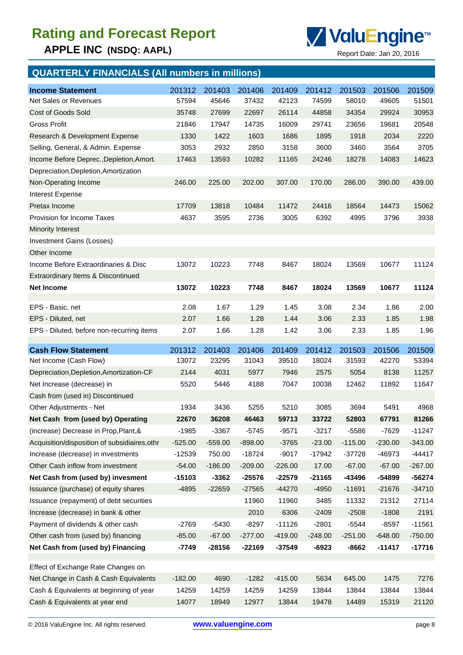**APPLE INC (NSDQ: AAPL)** Report Date: Jan 20, 2016



## **QUARTERLY FINANCIALS (All numbers in millions)**

| <b>Income Statement</b><br>Net Sales or Revenues              | 201312<br>57594 | 201403<br>45646 | 201406<br>37432 | 201409<br>42123 | 201412<br>74599 | 201503<br>58010 | 201506<br>49605 | 201509<br>51501 |
|---------------------------------------------------------------|-----------------|-----------------|-----------------|-----------------|-----------------|-----------------|-----------------|-----------------|
| <b>Cost of Goods Sold</b>                                     | 35748           | 27699           | 22697           | 26114           | 44858           | 34354           | 29924           | 30953           |
| <b>Gross Profit</b>                                           | 21846           | 17947           | 14735           | 16009           | 29741           | 23656           | 19681           | 20548           |
| Research & Development Expense                                | 1330            | 1422            | 1603            | 1686            | 1895            | 1918            | 2034            | 2220            |
| Selling, General, & Admin. Expense                            | 3053            | 2932            | 2850            | 3158            | 3600            | 3460            | 3564            | 3705            |
| Income Before Deprec., Depletion, Amort.                      | 17463           | 13593           | 10282           | 11165           | 24246           | 18278           | 14083           | 14623           |
|                                                               |                 |                 |                 |                 |                 |                 |                 |                 |
| Depreciation, Depletion, Amortization<br>Non-Operating Income | 246.00          | 225.00          | 202.00          | 307.00          | 170.00          | 286.00          | 390.00          | 439.00          |
|                                                               |                 |                 |                 |                 |                 |                 |                 |                 |
| Interest Expense                                              |                 |                 |                 |                 |                 |                 |                 |                 |
| Pretax Income                                                 | 17709           | 13818           | 10484           | 11472           | 24416           | 18564           | 14473           | 15062           |
| Provision for Income Taxes                                    | 4637            | 3595            | 2736            | 3005            | 6392            | 4995            | 3796            | 3938            |
| <b>Minority Interest</b>                                      |                 |                 |                 |                 |                 |                 |                 |                 |
| <b>Investment Gains (Losses)</b>                              |                 |                 |                 |                 |                 |                 |                 |                 |
| Other Income                                                  |                 |                 |                 |                 |                 |                 |                 |                 |
| Income Before Extraordinaries & Disc                          | 13072           | 10223           | 7748            | 8467            | 18024           | 13569           | 10677           | 11124           |
| Extraordinary Items & Discontinued                            |                 |                 |                 |                 |                 |                 |                 |                 |
| <b>Net Income</b>                                             | 13072           | 10223           | 7748            | 8467            | 18024           | 13569           | 10677           | 11124           |
| EPS - Basic, net                                              | 2.08            | 1.67            | 1.29            | 1.45            | 3.08            | 2.34            | 1.86            | 2.00            |
| EPS - Diluted, net                                            | 2.07            | 1.66            | 1.28            | 1.44            | 3.06            | 2.33            | 1.85            | 1.98            |
| EPS - Diluted, before non-recurring items                     | 2.07            | 1.66            | 1.28            | 1.42            | 3.06            | 2.33            | 1.85            | 1.96            |
|                                                               |                 |                 |                 |                 |                 |                 |                 |                 |
|                                                               |                 |                 |                 |                 |                 |                 |                 |                 |
| <b>Cash Flow Statement</b>                                    | 201312          | 201403          | 201406          | 201409          | 201412          | 201503          | 201506          | 201509          |
| Net Income (Cash Flow)                                        | 13072           | 23295           | 31043           | 39510           | 18024           | 31593           | 42270           | 53394           |
| Depreciation, Depletion, Amortization-CF                      | 2144            | 4031            | 5977            | 7946            | 2575            | 5054            | 8138            | 11257           |
| Net Increase (decrease) in                                    | 5520            | 5446            | 4188            | 7047            | 10038           | 12462           | 11892           | 11647           |
| Cash from (used in) Discontinued                              |                 |                 |                 |                 |                 |                 |                 |                 |
| Other Adjustments - Net                                       | 1934            | 3436            | 5255            | 5210            | 3085            | 3694            | 5491            | 4968            |
| Net Cash from (used by) Operating                             | 22670           | 36208           | 46463           | 59713           | 33722           | 52803           | 67791           | 81266           |
| (increase) Decrease in Prop, Plant, &                         | $-1985$         | $-3367$         | $-5745$         | $-9571$         | $-3217$         | $-5586$         | $-7629$         | $-11247$        |
| Acquisition/disposition of subsidiaires, othr                 | $-525.00$       | $-559.00$       | $-898.00$       | $-3765$         | $-23.00$        | $-115.00$       | $-230.00$       | $-343.00$       |
| Increase (decrease) in investments                            | $-12539$        | 750.00          | $-18724$        | $-9017$         | $-17942$        | -37728          | -46973          | $-44417$        |
| Other Cash inflow from investment                             | $-54.00$        | $-186.00$       | $-209.00$       | $-226.00$       | 17.00           | $-67.00$        | $-67.00$        | $-267.00$       |
| Net Cash from (used by) invesment                             | $-15103$        | $-3362$         | $-25576$        | $-22579$        | $-21165$        | -43496          | -54899          | $-56274$        |
| Issuance (purchase) of equity shares                          | $-4895$         | $-22659$        | $-27565$        | $-44270$        | $-4950$         | $-11691$        | $-21676$        | $-34710$        |
| Issuance (repayment) of debt securities                       |                 |                 | 11960           | 11960           | 3485            | 11332           | 21312           | 27114           |
| Increase (decrease) in bank & other                           |                 |                 | 2010            | 6306            | $-2409$         | $-2508$         | $-1808$         | 2191            |
| Payment of dividends & other cash                             | $-2769$         | $-5430$         | $-8297$         | $-11126$        | $-2801$         | $-5544$         | $-8597$         | $-11561$        |
| Other cash from (used by) financing                           | $-85.00$        | $-67.00$        | $-277.00$       | $-419.00$       | $-248.00$       | $-251.00$       | $-648.00$       | $-750.00$       |
| Net Cash from (used by) Financing                             | -7749           | $-28156$        | $-22169$        | $-37549$        | $-6923$         | $-8662$         | $-11417$        | $-17716$        |
| Effect of Exchange Rate Changes on                            |                 |                 |                 |                 |                 |                 |                 |                 |
| Net Change in Cash & Cash Equivalents                         | $-182.00$       | 4690            | $-1282$         | $-415.00$       | 5634            | 645.00          | 1475            | 7276            |
| Cash & Equivalents at beginning of year                       | 14259           | 14259           | 14259           | 14259           | 13844           | 13844           | 13844           | 13844           |
| Cash & Equivalents at year end                                | 14077           | 18949           | 12977           | 13844           | 19478           | 14489           | 15319           | 21120           |

© 2016 ValuEngine Inc. All rights reserved. **[www.valuengine.com](http://www.valuengine.com/)** page 8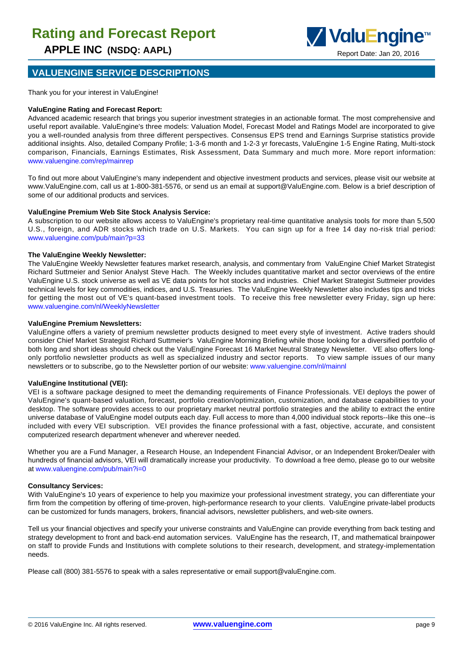

#### **VALUENGINE SERVICE DESCRIPTIONS**

Thank you for your interest in ValuEngine!

#### **ValuEngine Rating and Forecast Report:**

Advanced academic research that brings you superior investment strategies in an actionable format. The most comprehensive and useful report available. ValuEngine's three models: Valuation Model, Forecast Model and Ratings Model are incorporated to give you a well-rounded analysis from three different perspectives. Consensus EPS trend and Earnings Surprise statistics provide additional insights. Also, detailed Company Profile; 1-3-6 month and 1-2-3 yr forecasts, ValuEngine 1-5 Engine Rating, Multi-stock comparison, Financials, Earnings Estimates, Risk Assessment, Data Summary and much more. More report information: www.valuengine.com/rep/mainrep

To find out more about ValuEngine's many independent and objective investment products and services, please visit our website at www.ValuEngine.com, call us at 1-800-381-5576, or send us an email at support@ValuEngine.com. Below is a brief description of some of our additional products and services.

#### **ValuEngine Premium Web Site Stock Analysis Service:**

A subscription to our website allows access to ValuEngine's proprietary real-time quantitative analysis tools for more than 5,500 U.S., foreign, and ADR stocks which trade on U.S. Markets. You can sign up for a free 14 day no-risk trial period: www.valuengine.com/pub/main?p=33

#### **The ValuEngine Weekly Newsletter:**

The ValuEngine Weekly Newsletter features market research, analysis, and commentary from ValuEngine Chief Market Strategist Richard Suttmeier and Senior Analyst Steve Hach. The Weekly includes quantitative market and sector overviews of the entire ValuEngine U.S. stock universe as well as VE data points for hot stocks and industries. Chief Market Strategist Suttmeier provides technical levels for key commodities, indices, and U.S. Treasuries. The ValuEngine Weekly Newsletter also includes tips and tricks for getting the most out of VE's quant-based investment tools. To receive this free newsletter every Friday, sign up here: www.valuengine.com/nl/WeeklyNewsletter

#### **ValuEngine Premium Newsletters:**

ValuEngine offers a variety of premium newsletter products designed to meet every style of investment. Active traders should consider Chief Market Strategist Richard Suttmeier's ValuEngine Morning Briefing while those looking for a diversified portfolio of both long and short ideas should check out the ValuEngine Forecast 16 Market Neutral Strategy Newsletter. VE also offers longonly portfolio newsletter products as well as specialized industry and sector reports. To view sample issues of our many newsletters or to subscribe, go to the Newsletter portion of our website: www.valuengine.com/nl/mainnl

#### **ValuEngine Institutional (VEI):**

VEI is a software package designed to meet the demanding requirements of Finance Professionals. VEI deploys the power of ValuEngine's quant-based valuation, forecast, portfolio creation/optimization, customization, and database capabilities to your desktop. The software provides access to our proprietary market neutral portfolio strategies and the ability to extract the entire universe database of ValuEngine model outputs each day. Full access to more than 4,000 individual stock reports--like this one--is included with every VEI subscription. VEI provides the finance professional with a fast, objective, accurate, and consistent computerized research department whenever and wherever needed.

Whether you are a Fund Manager, a Research House, an Independent Financial Advisor, or an Independent Broker/Dealer with hundreds of financial advisors, VEI will dramatically increase your productivity. To download a free demo, please go to our website at www.valuengine.com/pub/main?i=0

#### **Consultancy Services:**

With ValuEngine's 10 years of experience to help you maximize your professional investment strategy, you can differentiate your firm from the competition by offering of time-proven, high-performance research to your clients. ValuEngine private-label products can be customized for funds managers, brokers, financial advisors, newsletter publishers, and web-site owners.

Tell us your financial objectives and specify your universe constraints and ValuEngine can provide everything from back testing and strategy development to front and back-end automation services. ValuEngine has the research, IT, and mathematical brainpower on staff to provide Funds and Institutions with complete solutions to their research, development, and strategy-implementation needs.

Please call (800) 381-5576 to speak with a sales representative or email support@valuEngine.com.